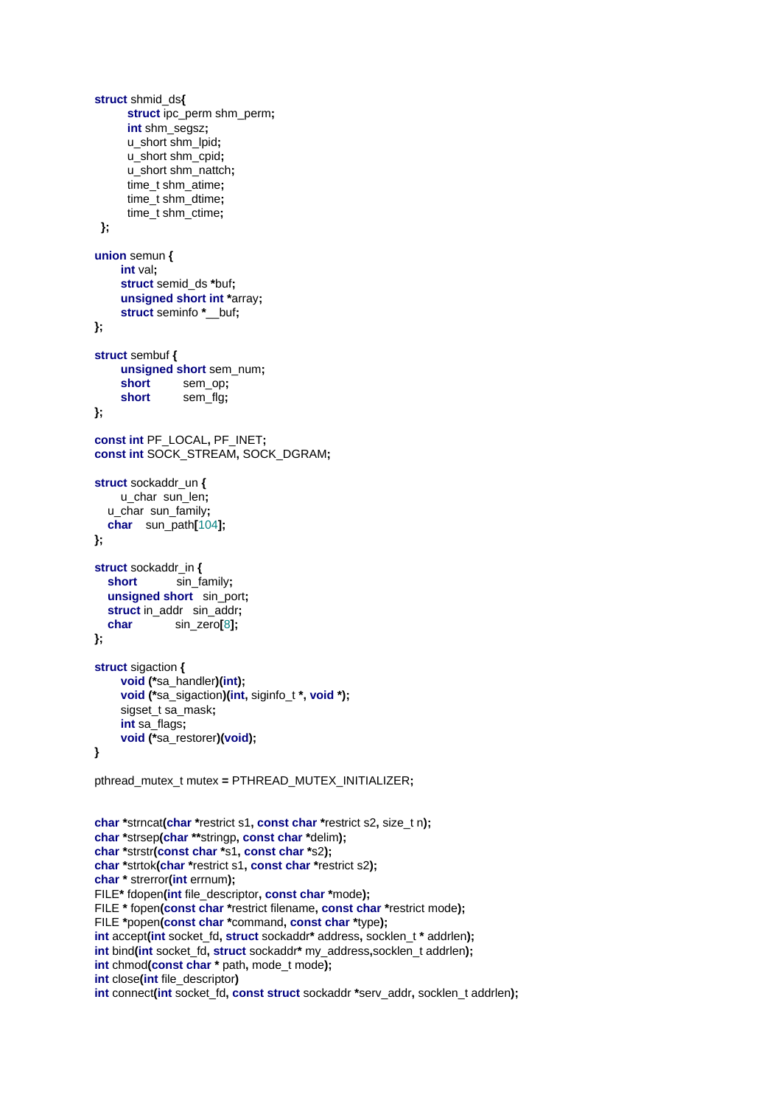```
struct shmid ds{
      struct ipc perm shm perm;
      int shm_segsz;
      u_short shm_lpid;
      u_short shm_cpid;
      u short shm nattch:
      time_t shm_atime:
      time t shm dtime;
      time_t shm_ctime;
 \mathbf{E}union semun {
     int val:
     struct semid_ds *buf;
     unsigned short int *array;
     struct seminfo * buf;
};
struct sembuf {
     unsigned short sem num;
     short
                sem op:
     short
                sem flg:
\mathcal{V}:
const int PF LOCAL, PF INET;
const int SOCK STREAM, SOCK DGRAM:
struct sockaddr un {
     u_char sun_len;
  u_char sun_family;
  char sun path[104];
};
struct sockaddr_in {
  short
               sin_family;
  unsigned short sin_port;
  struct in_addr sin_addr;
  char
               sin_zero[8];
\mathbf{E}struct sigaction {
     void (*sa_handler)(int);
     void (*sa_sigaction)(int, siginfo_t *, void *);
     sigset_t sa_mask;
     int sa_flags;
     void (*sa_restorer)(void);
\mathbf{A}pthread_mutex_t mutex = PTHREAD_MUTEX_INITIALIZER;
char *strncat(char *restrict s1, const char *restrict s2, size_t n);
char *strsep(char **stringp, const char *delim);
char *strstr(const char *s1, const char *s2);
char *strtok(char *restrict s1, const char *restrict s2);
char * strerror(int errnum);
FILE* fdopen(int file_descriptor, const char *mode);
FILE * fopen(const char *restrict filename, const char *restrict mode);
FILE *popen(const char *command, const char *type);
int accept(int socket_fd, struct sockaddr* address, socklen_t * addrlen);
int bind(int socket fd, struct sockaddr* my_address, socklen_t addrlen);
int chmod(const char * path, mode_t mode);
int close(int file_descriptor)
```

```
int connect(int socket_fd, const struct sockaddr *serv_addr, socklen_t addrlen);
```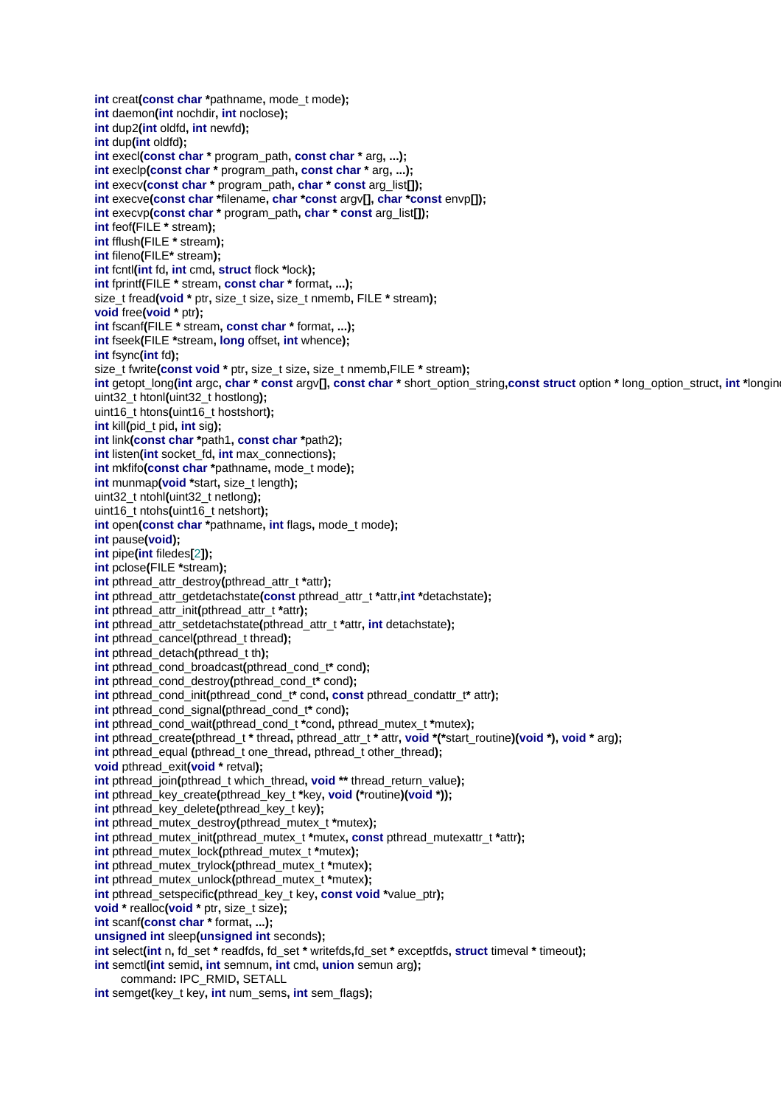**int** creat(const char \*pathname, mode t mode); **int** daemon**(int** nochdir**, int** noclose**); int** dup2**(int** oldfd**, int** newfd**); int** dup**(int** oldfd**); int** execl**(const char \*** program\_path**, const char \*** arg**, ...); int** execlp**(const char \*** program\_path**, const char \*** arg**, ...); int** execv**(const char \*** program\_path**, char \* const** arg\_list**[]); int** execve**(const char \***filename**, char \*const** argv**[], char \*const** envp**[]); int** execvp**(const char \*** program\_path**, char \* const** arg\_list**[]); int** feof**(**FILE **\*** stream**); int** fflush**(**FILE **\*** stream**); int** fileno**(**FILE**\*** stream**); int** fcntl**(int** fd**, int** cmd**, struct** flock **\***lock**); int** fprintf**(**FILE **\*** stream**, const char \*** format**, ...);** size\_t fread**(void \*** ptr**,** size\_t size**,** size\_t nmemb**,** FILE **\*** stream**); void** free**(void \*** ptr**); int** fscanf**(**FILE **\*** stream**, const char \*** format**, ...); int** fseek**(**FILE **\***stream**, long** offset**, int** whence**); int** fsync**(int** fd**);** size\_t fwrite**(const void \*** ptr**,** size\_t size**,** size\_t nmemb**,**FILE **\*** stream**);** int getopt long(int argc, char \* const argy[], const char \* short option string, const struct option \* long option struct, int \*longing uint32\_t htonl**(**uint32\_t hostlong**);** uint16\_t htons**(**uint16\_t hostshort**); int** kill**(**pid\_t pid**, int** sig**); int** link**(const char \***path1**, const char \***path2**); int** listen**(int** socket\_fd**, int** max\_connections**); int** mkfifo**(const char \***pathname**,** mode\_t mode**); int** munmap(void \*start, size t length); uint32\_t ntohl**(**uint32\_t netlong**);** uint16\_t ntohs**(**uint16\_t netshort**); int** open**(const char \***pathname**, int** flags**,** mode\_t mode**); int** pause**(void); int** pipe**(int** filedes**[**2**]); int** pclose**(**FILE **\***stream**); int** pthread\_attr\_destroy**(**pthread\_attr\_t **\***attr**); int** pthread\_attr\_getdetachstate**(const** pthread\_attr\_t **\***attr**,int \***detachstate**); int** pthread\_attr\_init**(**pthread\_attr\_t **\***attr**); int** pthread\_attr\_setdetachstate**(**pthread\_attr\_t **\***attr**, int** detachstate**); int** pthread\_cancel**(**pthread\_t thread**); int** pthread\_detach**(**pthread\_t th**); int** pthread\_cond\_broadcast**(**pthread\_cond\_t**\*** cond**); int** pthread\_cond\_destroy**(**pthread\_cond\_t**\*** cond**); int** pthread\_cond\_init**(**pthread\_cond\_t**\*** cond**, const** pthread\_condattr\_t**\*** attr**); int** pthread\_cond\_signal**(**pthread\_cond\_t**\*** cond**); int** pthread\_cond\_wait**(**pthread\_cond\_t **\***cond**,** pthread\_mutex\_t **\***mutex**); int** pthread\_create**(**pthread\_t **\*** thread**,** pthread\_attr\_t **\*** attr**, void \*(\***start\_routine**)(void \*), void \*** arg**); int** pthread equal (pthread t one thread, pthread t other thread); **void** pthread\_exit**(void \*** retval**); int** pthread\_join**(**pthread\_t which\_thread**, void \*\*** thread\_return\_value**); int** pthread\_key\_create**(**pthread\_key\_t **\***key**, void (\***routine**)(void \*)); int** pthread\_key\_delete**(**pthread\_key\_t key**); int** pthread\_mutex\_destroy**(**pthread\_mutex\_t **\***mutex**); int** pthread mutex init(pthread mutex t \*mutex, **const** pthread mutexattr t \*attr); **int** pthread\_mutex\_lock**(**pthread\_mutex\_t **\***mutex**); int** pthread\_mutex\_trylock**(**pthread\_mutex\_t **\***mutex**); int** pthread\_mutex\_unlock**(**pthread\_mutex\_t **\***mutex**); int** pthread\_setspecific**(**pthread\_key\_t key**, const void \***value\_ptr**); void \*** realloc**(void \*** ptr**,** size\_t size**); int** scanf**(const char \*** format**, ...); unsigned int** sleep**(unsigned int** seconds**); int** select**(int** n**,** fd\_set **\*** readfds**,** fd\_set **\*** writefds**,**fd\_set **\*** exceptfds**, struct** timeval **\*** timeout**); int** semctl**(int** semid**, int** semnum**, int** cmd**, union** semun arg**);** command**:** IPC\_RMID**,** SETALL **int** semget**(**key\_t key**, int** num\_sems**, int** sem\_flags**);**